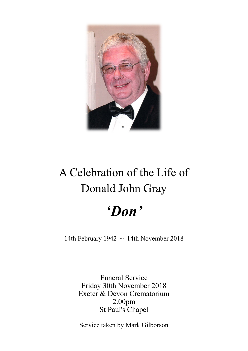

### A Celebration of the Life of Donald John Gray

## *'Don'*

14th February 1942  $\sim$  14th November 2018

Funeral Service Friday 30th November 2018 Exeter & Devon Crematorium 2.00pm St Paul's Chapel

Service taken by Mark Gilborson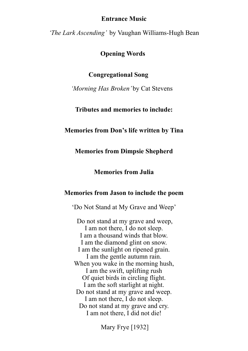#### **Entrance Music**

*'The Lark Ascending'* by Vaughan Williams-Hugh Bean

#### **Opening Words**

#### **Congregational Song**

*'Morning Has Broken'* by Cat Stevens

**Tributes and memories to include:**

#### **Memories from Don's life written by Tina**

**Memories from Dimpsie Shepherd**

**Memories from Julia**

#### **Memories from Jason to include the poem**

'Do Not Stand at My Grave and Weep'

Do not stand at my grave and weep, I am not there, I do not sleep. I am a thousand winds that blow. I am the diamond glint on snow. I am the sunlight on ripened grain. I am the gentle autumn rain. When you wake in the morning hush, I am the swift, uplifting rush Of quiet birds in circling flight. I am the soft starlight at night. Do not stand at my grave and weep. I am not there, I do not sleep. Do not stand at my grave and cry. I am not there, I did not die!

Mary Frye [1932]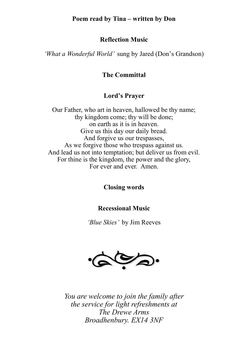#### **Poem read by Tina – written by Don**

#### **Reflection Music**

*'What a Wonderful World'* sung by Jared (Don's Grandson)

#### **The Committal**

#### **Lord's Prayer**

Our Father, who art in heaven, hallowed be thy name; thy kingdom come; thy will be done; on earth as it is in heaven. Give us this day our daily bread. And forgive us our trespasses, As we forgive those who trespass against us. And lead us not into temptation; but deliver us from evil. For thine is the kingdom, the power and the glory, For ever and ever. Amen.

**Closing words** 

#### **Recessional Music**

*'Blue Skies'* by Jim Reeves



*You are welcome to join the family after the service for light refreshments at The Drewe Arms Broadhenbury. EX14 3NF*